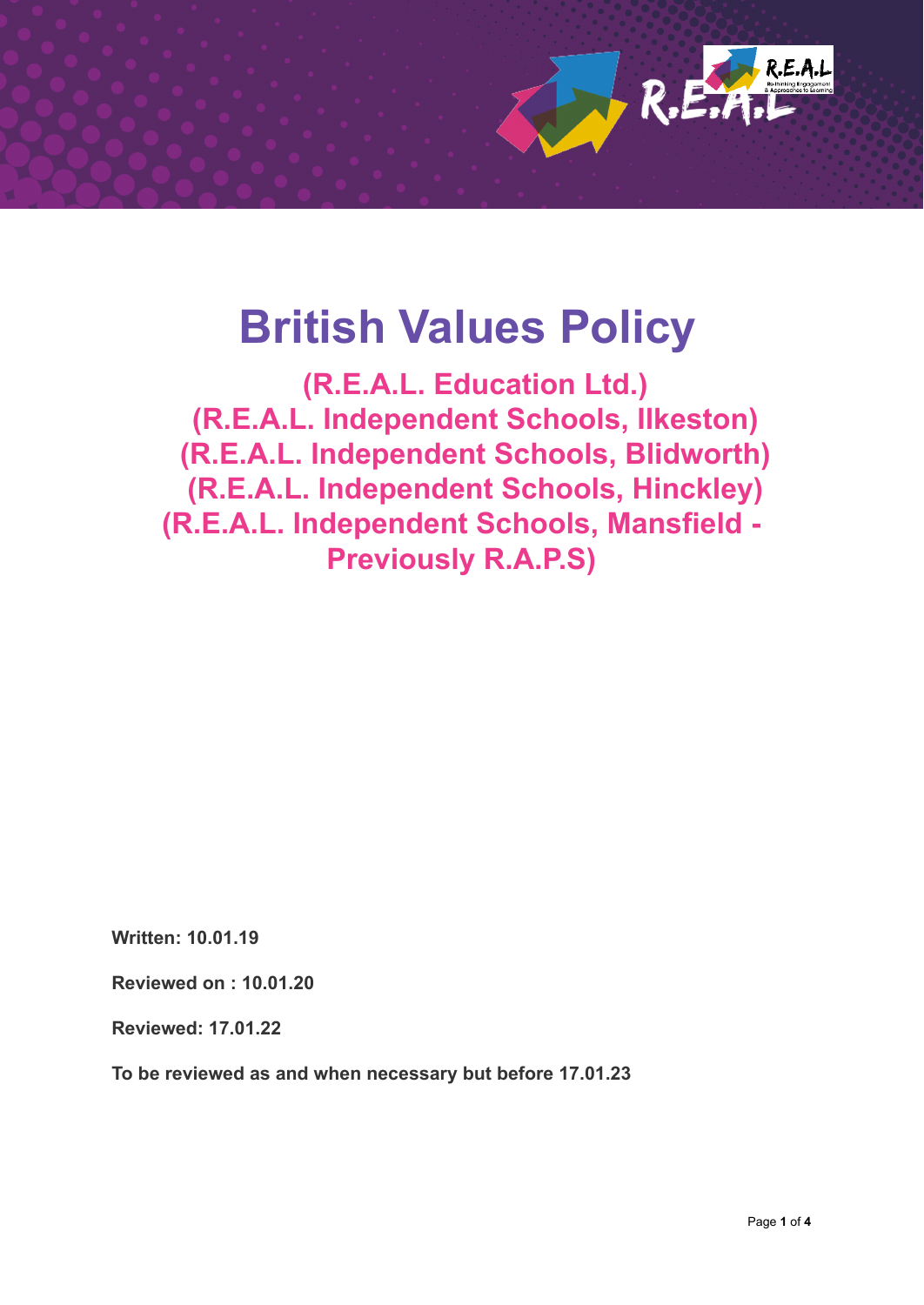

# **British Values Policy**

**(R.E.A.L. Education Ltd.) (R.E.A.L. Independent Schools, Ilkeston) (R.E.A.L. Independent Schools, Blidworth) (R.E.A.L. Independent Schools, Hinckley) (R.E.A.L. Independent Schools, Mansfield - Previously R.A.P.S)**

**Written: 10.01.19**

**Reviewed on : 10.01.20**

**Reviewed: 17.01.22**

**To be reviewed as and when necessary but before 17.01.23**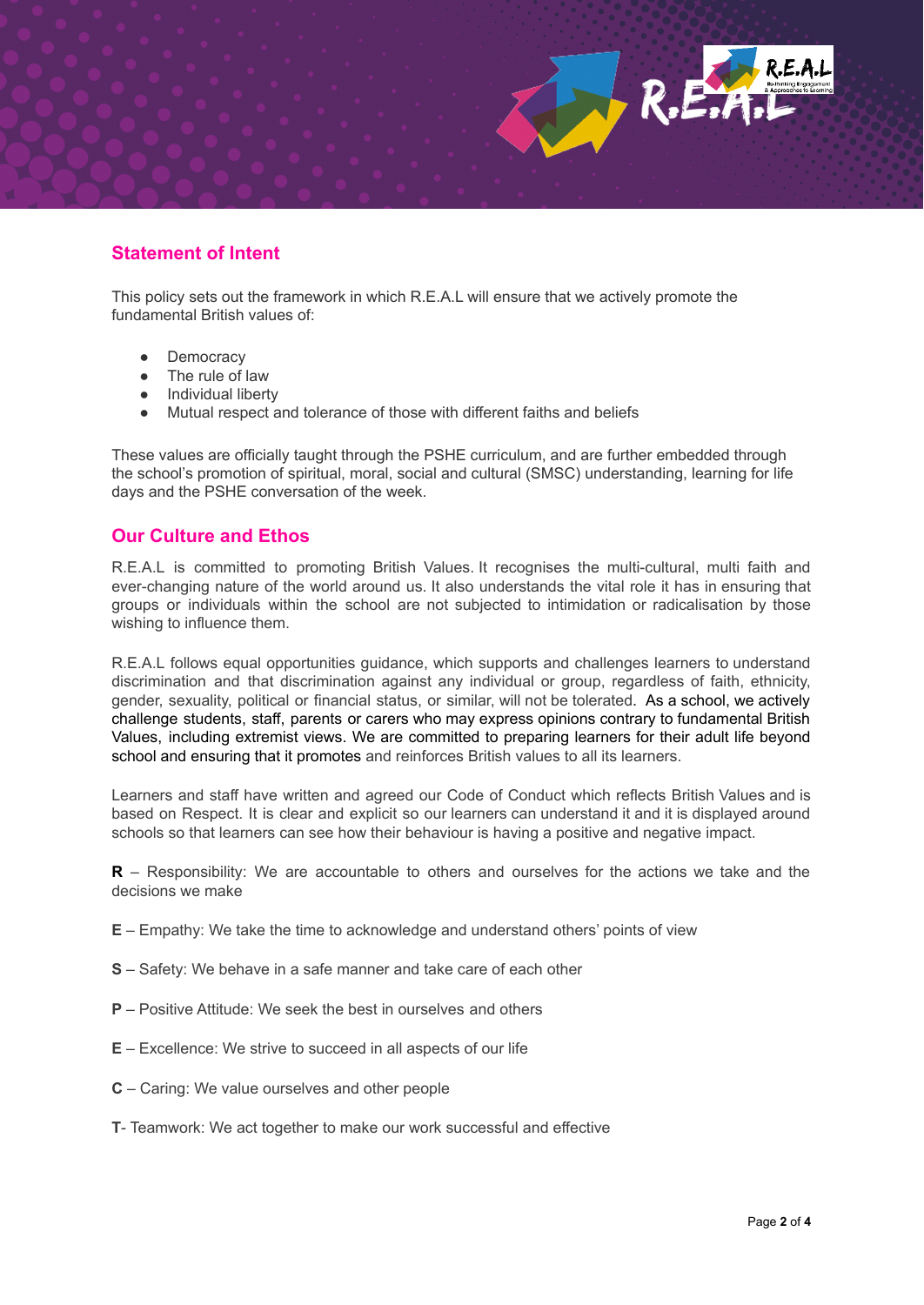## **Statement of Intent**

This policy sets out the framework in which R.E.A.L will ensure that we actively promote the fundamental British values of:

R.E.

- Democracy
- The rule of law
- Individual liberty
- Mutual respect and tolerance of those with different faiths and beliefs

These values are officially taught through the PSHE curriculum, and are further embedded through the school's promotion of spiritual, moral, social and cultural (SMSC) understanding, learning for life days and the PSHE conversation of the week.

## **Our Culture and Ethos**

R.E.A.L is committed to promoting British Values. It recognises the multi-cultural, multi faith and ever-changing nature of the world around us. It also understands the vital role it has in ensuring that groups or individuals within the school are not subjected to intimidation or radicalisation by those wishing to influence them.

R.E.A.L follows equal opportunities guidance, which supports and challenges learners to understand discrimination and that discrimination against any individual or group, regardless of faith, ethnicity, gender, sexuality, political or financial status, or similar, will not be tolerated. As a school, we actively challenge students, staff, parents or carers who may express opinions contrary to fundamental British Values, including extremist views. We are committed to preparing learners for their adult life beyond school and ensuring that it promotes and reinforces British values to all its learners.

Learners and staff have written and agreed our Code of Conduct which reflects British Values and is based on Respect. It is clear and explicit so our learners can understand it and it is displayed around schools so that learners can see how their behaviour is having a positive and negative impact.

**R** – Responsibility: We are accountable to others and ourselves for the actions we take and the decisions we make

- **E** Empathy: We take the time to acknowledge and understand others' points of view
- **S** Safety: We behave in a safe manner and take care of each other
- **P** Positive Attitude: We seek the best in ourselves and others
- **E** Excellence: We strive to succeed in all aspects of our life
- **C** Caring: We value ourselves and other people
- **T** Teamwork: We act together to make our work successful and effective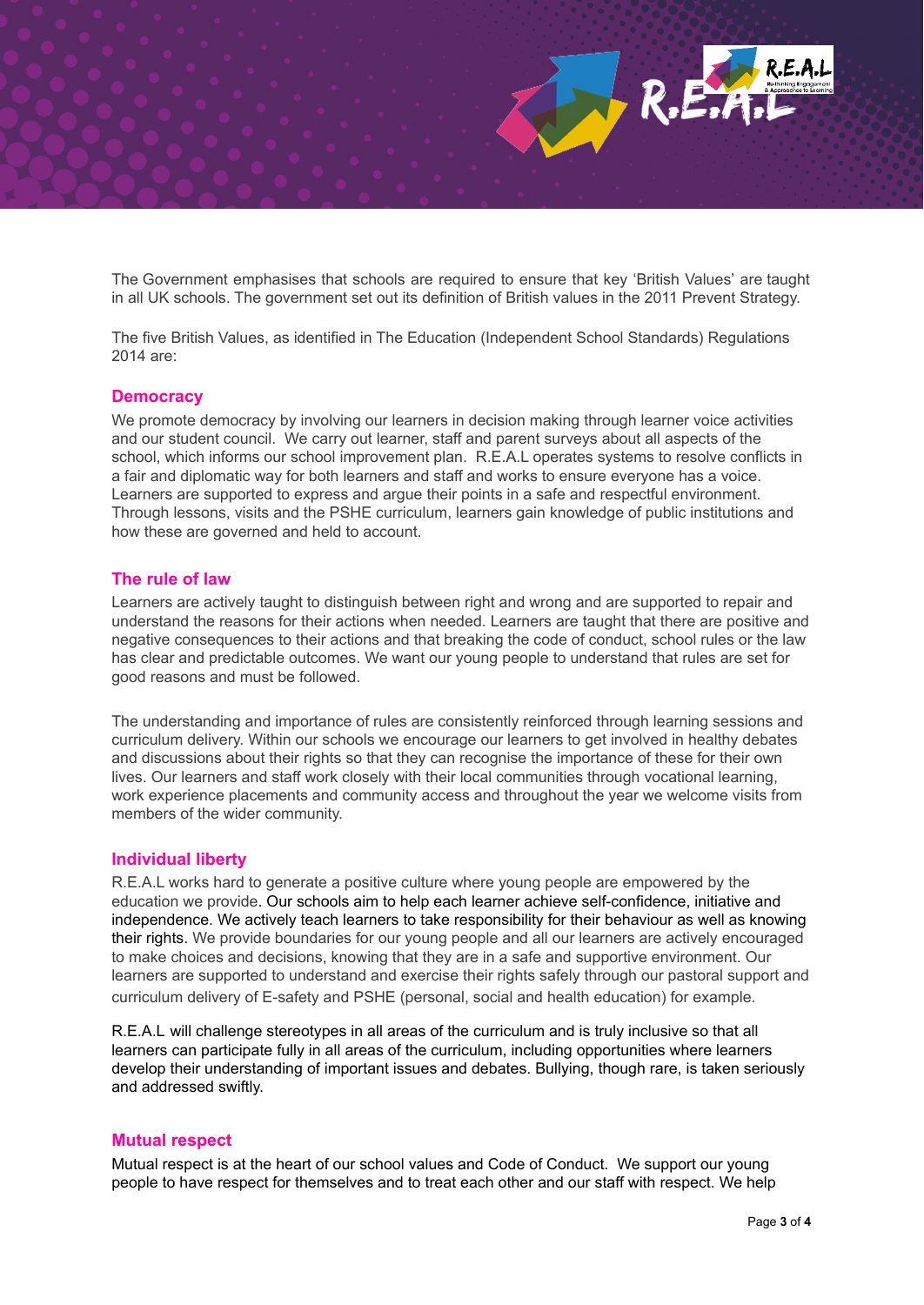

The Government emphasises that schools are required to ensure that key 'British Values' are taught in all UK schools. The government set out its definition of British values in the 2011 Prevent Strategy.

The five British Values, as identified in The Education (Independent School Standards) Regulations 2014 are:

#### **Democracy**

We promote democracy by involving our learners in decision making through learner voice activities and our student council. We carry out learner, staff and parent surveys about all aspects of the school, which informs our school improvement plan. R.E.A.L operates systems to resolve conflicts in a fair and diplomatic way for both learners and staff and works to ensure everyone has a voice. Learners are supported to express and argue their points in a safe and respectful environment. Through lessons, visits and the PSHE curriculum, learners gain knowledge of public institutions and how these are governed and held to account.

#### **The rule of law**

Learners are actively taught to distinguish between right and wrong and are supported to repair and understand the reasons for their actions when needed. Learners are taught that there are positive and negative consequences to their actions and that breaking the code of conduct, school rules or the law has clear and predictable outcomes. We want our young people to understand that rules are set for good reasons and must be followed.

The understanding and importance of rules are consistently reinforced through learning sessions and curriculum delivery. Within our schools we encourage our learners to get involved in healthy debates and discussions about their rights so that they can recognise the importance of these for their own lives. Our learners and staff work closely with their local communities through vocational learning, work experience placements and community access and throughout the year we welcome visits from members of the wider community.

### **Individual liberty**

R.E.A.L works hard to generate a positive culture where young people are empowered by the education we provide. Our schools aim to help each learner achieve self-confidence, initiative and independence. We actively teach learners to take responsibility for their behaviour as well as knowing their rights. We provide boundaries for our young people and all our learners are actively encouraged to make choices and decisions, knowing that they are in a safe and supportive environment. Our learners are supported to understand and exercise their rights safely through our pastoral support and curriculum delivery of E-safety and PSHE (personal, social and health education) for example.

R.E.A.L will challenge stereotypes in all areas of the curriculum and is truly inclusive so that all learners can participate fully in all areas of the curriculum, including opportunities where learners develop their understanding of important issues and debates. Bullying, though rare, is taken seriously and addressed swiftly.

#### **Mutual respect**

Mutual respect is at the heart of our school values and Code of Conduct. We support our young people to have respect for themselves and to treat each other and our staff with respect. We help